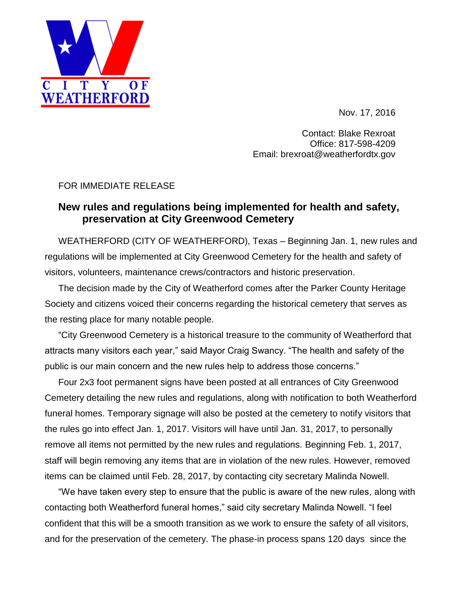

Nov. 17, 2016

Contact: Blake Rexroat Office: 817-598-4209 Email: brexroat@weatherfordtx.gov

## FOR IMMEDIATE RELEASE

## **New rules and regulations being implemented for health and safety, preservation at City Greenwood Cemetery**

WEATHERFORD (CITY OF WEATHERFORD), Texas – Beginning Jan. 1, new rules and regulations will be implemented at City Greenwood Cemetery for the health and safety of visitors, volunteers, maintenance crews/contractors and historic preservation.

The decision made by the City of Weatherford comes after the Parker County Heritage Society and citizens voiced their concerns regarding the historical cemetery that serves as the resting place for many notable people.

"City Greenwood Cemetery is a historical treasure to the community of Weatherford that attracts many visitors each year," said Mayor Craig Swancy. "The health and safety of the public is our main concern and the new rules help to address those concerns."

Four 2x3 foot permanent signs have been posted at all entrances of City Greenwood Cemetery detailing the new rules and regulations, along with notification to both Weatherford funeral homes. Temporary signage will also be posted at the cemetery to notify visitors that the rules go into effect Jan. 1, 2017. Visitors will have until Jan. 31, 2017, to personally remove all items not permitted by the new rules and regulations. Beginning Feb. 1, 2017, staff will begin removing any items that are in violation of the new rules. However, removed items can be claimed until Feb. 28, 2017, by contacting city secretary Malinda Nowell.

"We have taken every step to ensure that the public is aware of the new rules, along with contacting both Weatherford funeral homes," said city secretary Malinda Nowell. "I feel confident that this will be a smooth transition as we work to ensure the safety of all visitors, and for the preservation of the cemetery. The phase-in process spans 120 days since the